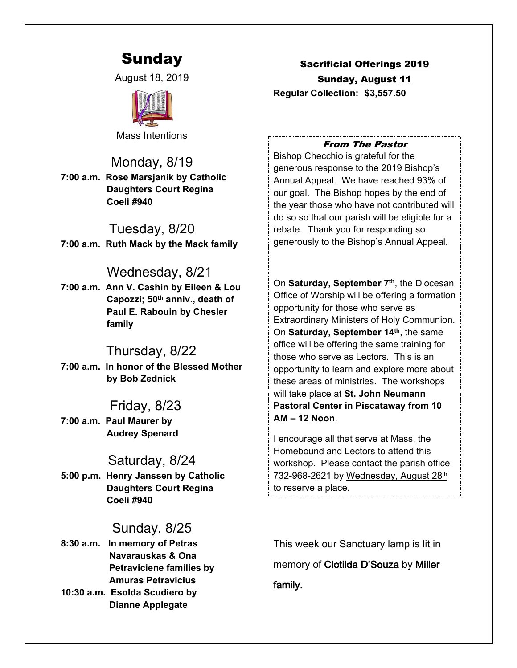# Sunday

August 18, 2019



Mass Intentions

Monday, 8/19 **7:00 a.m. Rose Marsjanik by Catholic Daughters Court Regina Coeli #940**

Tuesday, 8/20 **7:00 a.m. Ruth Mack by the Mack family**

# Wednesday, 8/21

**7:00 a.m. Ann V. Cashin by Eileen & Lou Capozzi; 50th anniv., death of Paul E. Rabouin by Chesler family**

# Thursday, 8/22

**7:00 a.m. In honor of the Blessed Mother by Bob Zednick**

# Friday, 8/23

**7:00 a.m. Paul Maurer by Audrey Spenard**

# Saturday, 8/24

**5:00 p.m. Henry Janssen by Catholic Daughters Court Regina Coeli #940**

# Sunday, 8/25

**8:30 a.m. In memory of Petras Navarauskas & Ona Petraviciene families by Amuras Petravicius 10:30 a.m. Esolda Scudiero by**

 **Dianne Applegate**

### Sacrificial Offerings 2019

Sunday, August 11 **Regular Collection: \$3,557.50**

### *From The Pastor*

Bishop Checchio is grateful for the generous response to the 2019 Bishop's Annual Appeal. We have reached 93% of our goal. The Bishop hopes by the end of the year those who have not contributed will do so so that our parish will be eligible for a rebate. Thank you for responding so generously to the Bishop's Annual Appeal.

On **Saturday, September 7th**, the Diocesan Office of Worship will be offering a formation opportunity for those who serve as Extraordinary Ministers of Holy Communion. On **Saturday, September 14th**, the same office will be offering the same training for those who serve as Lectors. This is an opportunity to learn and explore more about these areas of ministries. The workshops will take place at **St. John Neumann Pastoral Center in Piscataway from 10 AM – 12 Noon**.

I encourage all that serve at Mass, the Homebound and Lectors to attend this workshop. Please contact the parish office 732-968-2621 by Wednesday, August 28th to reserve a place.

This week our Sanctuary lamp is lit in memory of **Clotilda D'Souza** by **Miller family.**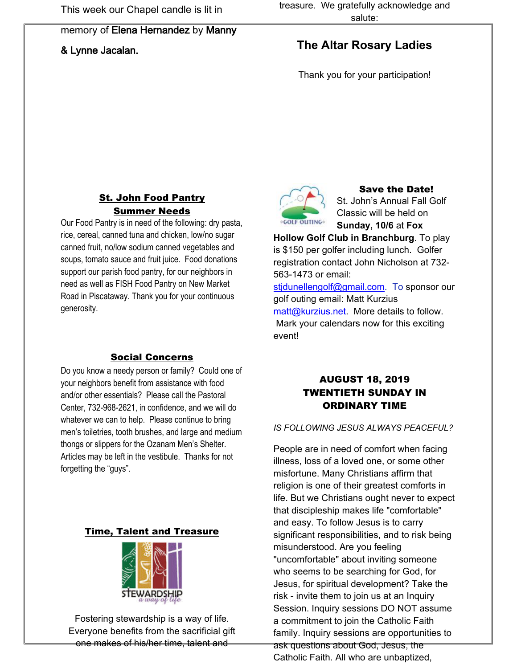#### memory of **Elena Hernandez** by **Manny**

### **& Lynne Jacalan.**

# **The Altar Rosary Ladies**

Thank you for your participation!

### St. John Food Pantry Summer Needs

Our Food Pantry is in need of the following: dry pasta, rice, cereal, canned tuna and chicken, low/no sugar canned fruit, no/low sodium canned vegetables and soups, tomato sauce and fruit juice. Food donations support our parish food pantry, for our neighbors in need as well as FISH Food Pantry on New Market Road in Piscataway. Thank you for your continuous generosity.

### Social Concerns

Do you know a needy person or family? Could one of your neighbors benefit from assistance with food and/or other essentials? Please call the Pastoral Center, 732-968-2621, in confidence, and we will do whatever we can to help. Please continue to bring men's toiletries, tooth brushes, and large and medium thongs or slippers for the Ozanam Men's Shelter. Articles may be left in the vestibule. Thanks for not forgetting the "guys".

#### Time, Talent and Treasure



Fostering stewardship is a way of life. Everyone benefits from the sacrificial gift one makes of his/her time, talent and



#### Save the Date!

St. John's Annual Fall Golf Classic will be held on **Sunday, 10/6** at **Fox** 

**Hollow Golf Club in Branchburg**. To play is \$150 per golfer including lunch. Golfer registration contact John Nicholson at 732- 563-1473 or email:

[stjdunellengolf@gmail.com.](mailto:stjdunellengolf@gmail.com) To sponsor our golf outing email: Matt Kurzius [matt@kurzius.net.](mailto:matt@kurzius.net) More details to follow. Mark your calendars now for this exciting event!

# AUGUST 18, 2019 TWENTIETH SUNDAY IN ORDINARY TIME

#### *IS FOLLOWING JESUS ALWAYS PEACEFUL?*

People are in need of comfort when facing illness, loss of a loved one, or some other misfortune. Many Christians affirm that religion is one of their greatest comforts in life. But we Christians ought never to expect that discipleship makes life "comfortable" and easy. To follow Jesus is to carry significant responsibilities, and to risk being misunderstood. Are you feeling "uncomfortable" about inviting someone who seems to be searching for God, for Jesus, for spiritual development? Take the risk - invite them to join us at an Inquiry Session. Inquiry sessions DO NOT assume a commitment to join the Catholic Faith family. Inquiry sessions are opportunities to ask questions about God, Jesus, the Catholic Faith. All who are unbaptized,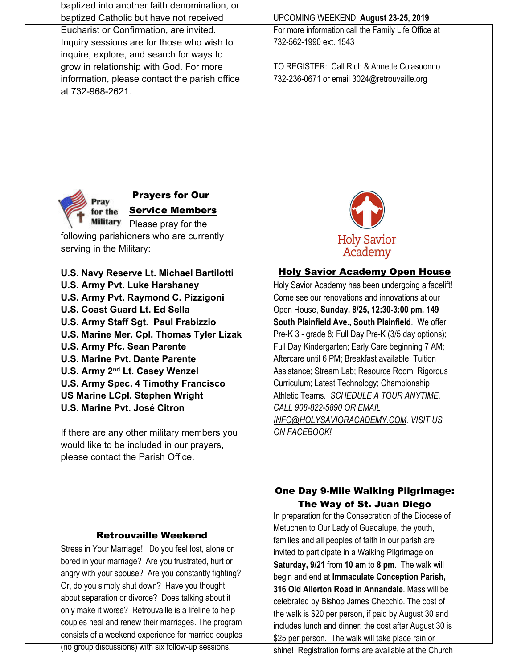baptized into another faith denomination, or baptized Catholic but have not received

Eucharist or Confirmation, are invited. Inquiry sessions are for those who wish to inquire, explore, and search for ways to grow in relationship with God. For more information, please contact the parish office at 732-968-2621.

### UPCOMING WEEKEND: **August 23-25, 2019**

For more information call the Family Life Office at 732-562-1990 ext. 1543

TO REGISTER: Call Rich & Annette Colasuonno 732-236-0671 or email 3024@retrouvaille.org



## Prayers for Our

Service Members Military Please pray for the following parishioners who are currently serving in the Military:

**U.S. Navy Reserve Lt. Michael Bartilotti U.S. Army Pvt. Luke Harshaney U.S. Army Pvt. Raymond C. Pizzigoni U.S. Coast Guard Lt. Ed Sella U.S. Army Staff Sgt. Paul Frabizzio U.S. Marine Mer. Cpl. Thomas Tyler Lizak U.S. Army Pfc. Sean Parente U.S. Marine Pvt. Dante Parente U.S. Army 2nd Lt. Casey Wenzel U.S. Army Spec. 4 Timothy Francisco US Marine LCpl. Stephen Wright U.S. Marine Pvt. José Citron**

If there are any other military members you would like to be included in our prayers, please contact the Parish Office.



### Holy Savior Academy Open House

Holy Savior Academy has been undergoing a facelift! Come see our renovations and innovations at our Open House, **Sunday, 8/25, 12:30-3:00 pm, 149 South Plainfield Ave., South Plainfield**. We offer Pre-K 3 - grade 8; Full Day Pre-K (3/5 day options); Full Day Kindergarten; Early Care beginning 7 AM; Aftercare until 6 PM; Breakfast available; Tuition Assistance; Stream Lab; Resource Room; Rigorous Curriculum; Latest Technology; Championship Athletic Teams. *SCHEDULE A TOUR ANYTIME. CALL 908-822-5890 OR EMAIL [INFO@HOLYSAVIORACADEMY.COM](mailto:INFO@holysavioracademy.com). VISIT US ON FACEBOOK!*

## Retrouvaille Weekend

Stress in Your Marriage! Do you feel lost, alone or bored in your marriage? Are you frustrated, hurt or angry with your spouse? Are you constantly fighting? Or, do you simply shut down? Have you thought about separation or divorce? Does talking about it only make it worse? Retrouvaille is a lifeline to help couples heal and renew their marriages. The program consists of a weekend experience for married couples

#### (no group discussions) with six follow-up sessions.

# One Day 9-Mile Walking Pilgrimage: The Way of St. Juan Diego

In preparation for the Consecration of the Diocese of Metuchen to Our Lady of Guadalupe, the youth, families and all peoples of faith in our parish are invited to participate in a Walking Pilgrimage on **Saturday, 9/21** from **10 am** to **8 pm**. The walk will begin and end at **Immaculate Conception Parish, 316 Old Allerton Road in Annandale**. Mass will be celebrated by Bishop James Checchio. The cost of the walk is \$20 per person, if paid by August 30 and includes lunch and dinner; the cost after August 30 is \$25 per person. The walk will take place rain or

shine! Registration forms are available at the Church